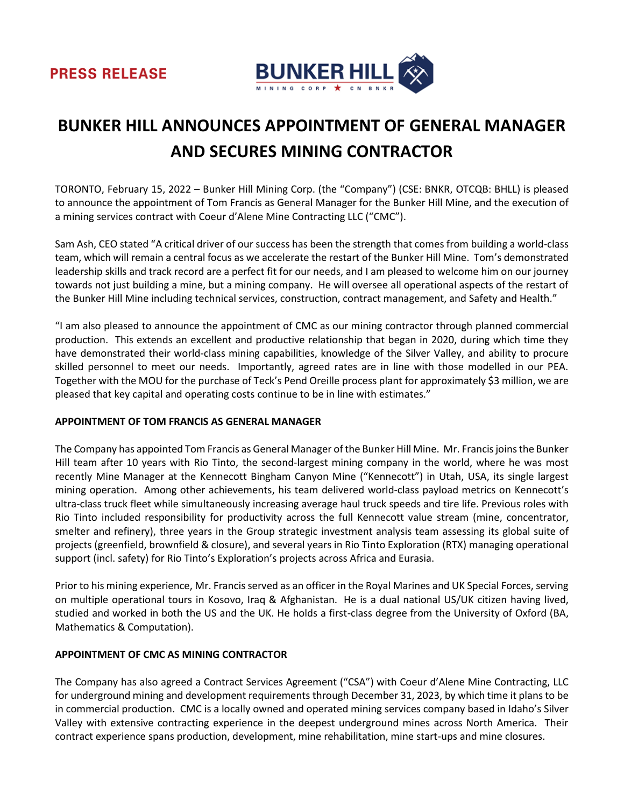

# **BUNKER HILL ANNOUNCES APPOINTMENT OF GENERAL MANAGER AND SECURES MINING CONTRACTOR**

TORONTO, February 15, 2022 – Bunker Hill Mining Corp. (the "Company") (CSE: BNKR, OTCQB: BHLL) is pleased to announce the appointment of Tom Francis as General Manager for the Bunker Hill Mine, and the execution of a mining services contract with Coeur d'Alene Mine Contracting LLC ("CMC").

Sam Ash, CEO stated "A critical driver of our success has been the strength that comes from building a world-class team, which will remain a central focus as we accelerate the restart of the Bunker Hill Mine. Tom's demonstrated leadership skills and track record are a perfect fit for our needs, and I am pleased to welcome him on our journey towards not just building a mine, but a mining company. He will oversee all operational aspects of the restart of the Bunker Hill Mine including technical services, construction, contract management, and Safety and Health."

"I am also pleased to announce the appointment of CMC as our mining contractor through planned commercial production. This extends an excellent and productive relationship that began in 2020, during which time they have demonstrated their world-class mining capabilities, knowledge of the Silver Valley, and ability to procure skilled personnel to meet our needs. Importantly, agreed rates are in line with those modelled in our PEA. Together with the MOU for the purchase of Teck's Pend Oreille process plant for approximately \$3 million, we are pleased that key capital and operating costs continue to be in line with estimates."

## **APPOINTMENT OF TOM FRANCIS AS GENERAL MANAGER**

The Company has appointed Tom Francis as General Manager of the Bunker Hill Mine. Mr. Francis joins the Bunker Hill team after 10 years with Rio Tinto, the second-largest mining company in the world, where he was most recently Mine Manager at the Kennecott Bingham Canyon Mine ("Kennecott") in Utah, USA, its single largest mining operation. Among other achievements, his team delivered world-class payload metrics on Kennecott's ultra-class truck fleet while simultaneously increasing average haul truck speeds and tire life. Previous roles with Rio Tinto included responsibility for productivity across the full Kennecott value stream (mine, concentrator, smelter and refinery), three years in the Group strategic investment analysis team assessing its global suite of projects (greenfield, brownfield & closure), and several years in Rio Tinto Exploration (RTX) managing operational support (incl. safety) for Rio Tinto's Exploration's projects across Africa and Eurasia.

Prior to his mining experience, Mr. Francis served as an officer in the Royal Marines and UK Special Forces, serving on multiple operational tours in Kosovo, Iraq & Afghanistan. He is a dual national US/UK citizen having lived, studied and worked in both the US and the UK. He holds a first-class degree from the University of Oxford (BA, Mathematics & Computation).

## **APPOINTMENT OF CMC AS MINING CONTRACTOR**

The Company has also agreed a Contract Services Agreement ("CSA") with Coeur d'Alene Mine Contracting, LLC for underground mining and development requirements through December 31, 2023, by which time it plans to be in commercial production. CMC is a locally owned and operated mining services company based in Idaho's Silver Valley with extensive contracting experience in the deepest underground mines across North America. Their contract experience spans production, development, mine rehabilitation, mine start-ups and mine closures.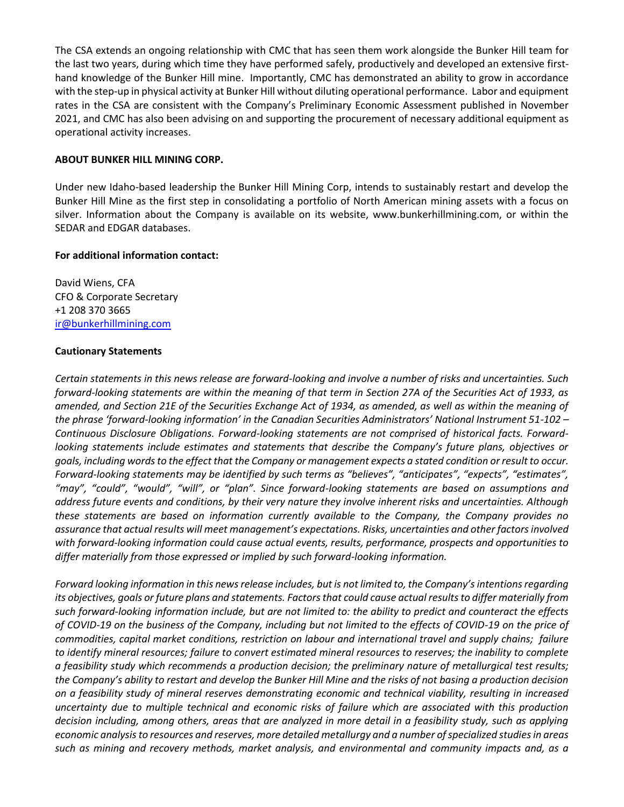The CSA extends an ongoing relationship with CMC that has seen them work alongside the Bunker Hill team for the last two years, during which time they have performed safely, productively and developed an extensive firsthand knowledge of the Bunker Hill mine. Importantly, CMC has demonstrated an ability to grow in accordance with the step-up in physical activity at Bunker Hill without diluting operational performance. Labor and equipment rates in the CSA are consistent with the Company's Preliminary Economic Assessment published in November 2021, and CMC has also been advising on and supporting the procurement of necessary additional equipment as operational activity increases.

## **ABOUT BUNKER HILL MINING CORP.**

Under new Idaho-based leadership the Bunker Hill Mining Corp, intends to sustainably restart and develop the Bunker Hill Mine as the first step in consolidating a portfolio of North American mining assets with a focus on silver. Information about the Company is available on its website, www.bunkerhillmining.com, or within the SEDAR and EDGAR databases.

### **For additional information contact:**

David Wiens, CFA CFO & Corporate Secretary +1 208 370 3665 [ir@bunkerhillmining.com](mailto:ir@bunkerhillmining.com)

## **Cautionary Statements**

*Certain statements in this news release are forward-looking and involve a number of risks and uncertainties. Such forward-looking statements are within the meaning of that term in Section 27A of the Securities Act of 1933, as amended, and Section 21E of the Securities Exchange Act of 1934, as amended, as well as within the meaning of the phrase 'forward-looking information' in the Canadian Securities Administrators' National Instrument 51-102 – Continuous Disclosure Obligations. Forward-looking statements are not comprised of historical facts. Forwardlooking statements include estimates and statements that describe the Company's future plans, objectives or goals, including words to the effect that the Company or management expects a stated condition or result to occur. Forward-looking statements may be identified by such terms as "believes", "anticipates", "expects", "estimates", "may", "could", "would", "will", or "plan". Since forward-looking statements are based on assumptions and address future events and conditions, by their very nature they involve inherent risks and uncertainties. Although these statements are based on information currently available to the Company, the Company provides no assurance that actual results will meet management's expectations. Risks, uncertainties and other factors involved with forward-looking information could cause actual events, results, performance, prospects and opportunities to differ materially from those expressed or implied by such forward-looking information.* 

*Forward looking information in this news release includes, but is not limited to, the Company's intentions regarding its objectives, goals or future plans and statements. Factors that could cause actual results to differ materially from such forward-looking information include, but are not limited to: the ability to predict and counteract the effects of COVID-19 on the business of the Company, including but not limited to the effects of COVID-19 on the price of commodities, capital market conditions, restriction on labour and international travel and supply chains; failure to identify mineral resources; failure to convert estimated mineral resources to reserves; the inability to complete a feasibility study which recommends a production decision; the preliminary nature of metallurgical test results; the Company's ability to restart and develop the Bunker Hill Mine and the risks of not basing a production decision on a feasibility study of mineral reserves demonstrating economic and technical viability, resulting in increased uncertainty due to multiple technical and economic risks of failure which are associated with this production decision including, among others, areas that are analyzed in more detail in a feasibility study, such as applying economic analysis to resources and reserves, more detailed metallurgy and a number of specialized studies in areas such as mining and recovery methods, market analysis, and environmental and community impacts and, as a*